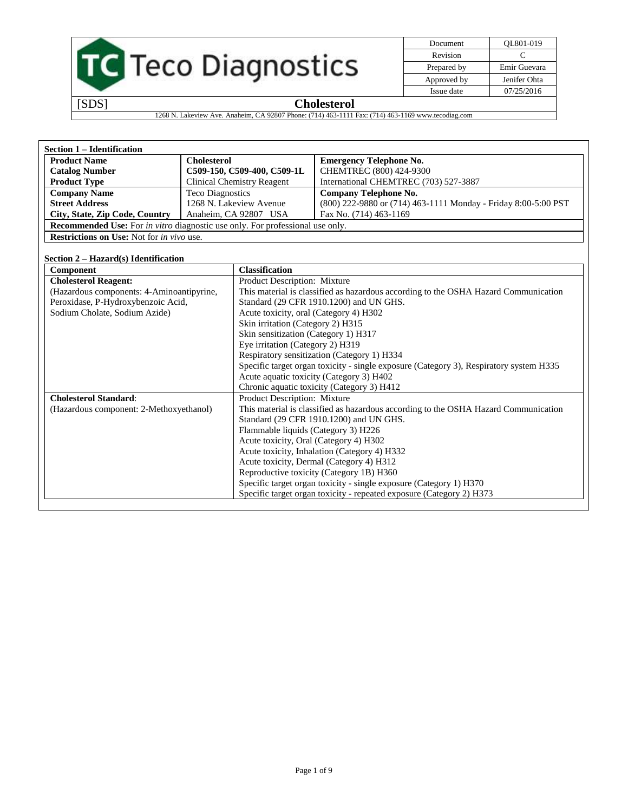|  | <b>TC</b> Teco Diagnostics |
|--|----------------------------|
|  |                            |
|  |                            |

| Document    | OL801-019    |
|-------------|--------------|
| Revision    |              |
| Prepared by | Emir Guevara |
| Approved by | Jenifer Ohta |
| Issue date  | 07/25/2016   |

1268 N. Lakeview Ave. Anaheim, CA 92807 Phone: (714) 463-1111 Fax: (714) 463-1169 www.tecodiag.com

| <b>Section 1 – Identification</b>                                                           |                                   |                                                                |  |  |
|---------------------------------------------------------------------------------------------|-----------------------------------|----------------------------------------------------------------|--|--|
| <b>Product Name</b>                                                                         | <b>Cholesterol</b>                | <b>Emergency Telephone No.</b>                                 |  |  |
| <b>Catalog Number</b>                                                                       | C509-150, C509-400, C509-1L       | CHEMTREC (800) 424-9300                                        |  |  |
| <b>Product Type</b>                                                                         | <b>Clinical Chemistry Reagent</b> | International CHEMTREC (703) 527-3887                          |  |  |
| <b>Company Name</b>                                                                         | <b>Teco Diagnostics</b>           | <b>Company Telephone No.</b>                                   |  |  |
| <b>Street Address</b>                                                                       | 1268 N. Lakeview Avenue           | (800) 222-9880 or (714) 463-1111 Monday - Friday 8:00-5:00 PST |  |  |
| City, State, Zip Code, Country<br>Anaheim, CA 92807 USA<br>Fax No. (714) 463-1169           |                                   |                                                                |  |  |
| <b>Recommended Use:</b> For <i>in vitro</i> diagnostic use only. For professional use only. |                                   |                                                                |  |  |
| <b>Restrictions on Use:</b> Not for <i>in vivo</i> use.                                     |                                   |                                                                |  |  |

# **Section 2 – Hazard(s) Identification**

| Component                                 | <b>Classification</b>                                                                  |
|-------------------------------------------|----------------------------------------------------------------------------------------|
| <b>Cholesterol Reagent:</b>               | Product Description: Mixture                                                           |
| (Hazardous components: 4-Aminoantipyrine, | This material is classified as hazardous according to the OSHA Hazard Communication    |
| Peroxidase, P-Hydroxybenzoic Acid,        | Standard (29 CFR 1910.1200) and UN GHS.                                                |
| Sodium Cholate, Sodium Azide)             | Acute toxicity, oral (Category 4) H302                                                 |
|                                           | Skin irritation (Category 2) H315                                                      |
|                                           | Skin sensitization (Category 1) H317                                                   |
|                                           | Eye irritation (Category 2) H319                                                       |
|                                           | Respiratory sensitization (Category 1) H334                                            |
|                                           | Specific target organ toxicity - single exposure (Category 3), Respiratory system H335 |
|                                           | Acute aquatic toxicity (Category 3) H402                                               |
|                                           | Chronic aquatic toxicity (Category 3) H412                                             |
| <b>Cholesterol Standard:</b>              | <b>Product Description: Mixture</b>                                                    |
| (Hazardous component: 2-Methoxyethanol)   | This material is classified as hazardous according to the OSHA Hazard Communication    |
|                                           | Standard (29 CFR 1910.1200) and UN GHS.                                                |
|                                           | Flammable liquids (Category 3) H226                                                    |
|                                           | Acute toxicity, Oral (Category 4) H302                                                 |
|                                           | Acute toxicity, Inhalation (Category 4) H332                                           |
|                                           | Acute toxicity, Dermal (Category 4) H312                                               |
|                                           | Reproductive toxicity (Category 1B) H360                                               |
|                                           | Specific target organ toxicity - single exposure (Category 1) H370                     |
|                                           | Specific target organ toxicity - repeated exposure (Category 2) H373                   |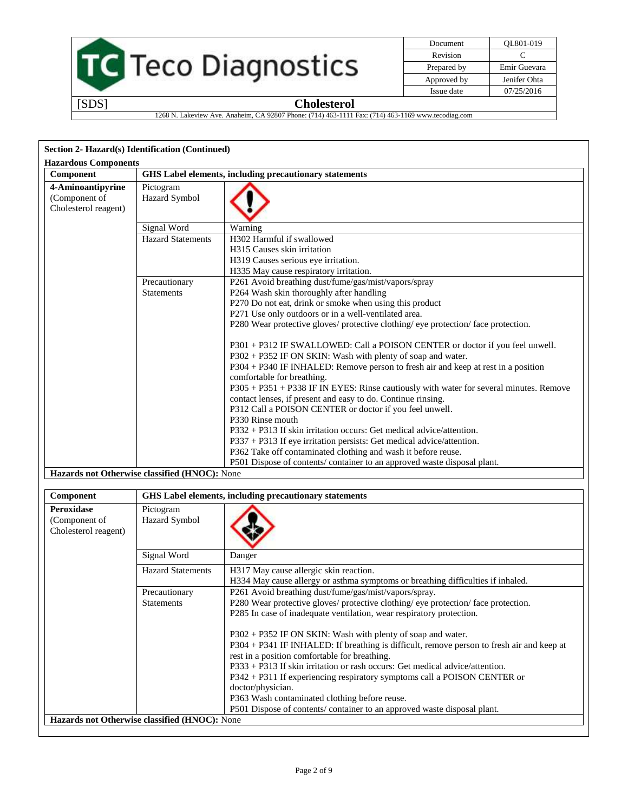

| Document    | OL801-019    |
|-------------|--------------|
| Revision    | C            |
| Prepared by | Emir Guevara |
| Approved by | Jenifer Ohta |
| Issue date  | 07/25/2016   |

1268 N. Lakeview Ave. Anaheim, CA 92807 Phone: (714) 463-1111 Fax: (714) 463-1169 www.tecodiag.com

| Section 2- Hazard(s) Identification (Continued)            |                                               |                                                                                                                                                                                                                                                                                                                                                                                            |
|------------------------------------------------------------|-----------------------------------------------|--------------------------------------------------------------------------------------------------------------------------------------------------------------------------------------------------------------------------------------------------------------------------------------------------------------------------------------------------------------------------------------------|
| <b>Hazardous Components</b>                                |                                               |                                                                                                                                                                                                                                                                                                                                                                                            |
| Component                                                  |                                               | GHS Label elements, including precautionary statements                                                                                                                                                                                                                                                                                                                                     |
| 4-Aminoantipyrine<br>(Component of<br>Cholesterol reagent) | Pictogram<br>Hazard Symbol                    |                                                                                                                                                                                                                                                                                                                                                                                            |
|                                                            | Signal Word                                   | Warning                                                                                                                                                                                                                                                                                                                                                                                    |
|                                                            | <b>Hazard Statements</b>                      | H302 Harmful if swallowed<br>H315 Causes skin irritation<br>H319 Causes serious eye irritation.<br>H335 May cause respiratory irritation.                                                                                                                                                                                                                                                  |
|                                                            | Precautionary<br>Statements                   | P261 Avoid breathing dust/fume/gas/mist/vapors/spray<br>P264 Wash skin thoroughly after handling<br>P270 Do not eat, drink or smoke when using this product<br>P271 Use only outdoors or in a well-ventilated area.                                                                                                                                                                        |
|                                                            |                                               | P280 Wear protective gloves/ protective clothing/ eye protection/ face protection.                                                                                                                                                                                                                                                                                                         |
|                                                            |                                               | P301 + P312 IF SWALLOWED: Call a POISON CENTER or doctor if you feel unwell.<br>P302 + P352 IF ON SKIN: Wash with plenty of soap and water.<br>P304 + P340 IF INHALED: Remove person to fresh air and keep at rest in a position<br>comfortable for breathing.<br>P305 + P351 + P338 IF IN EYES: Rinse cautiously with water for several minutes. Remove                                   |
|                                                            |                                               | contact lenses, if present and easy to do. Continue rinsing.<br>P312 Call a POISON CENTER or doctor if you feel unwell.<br>P330 Rinse mouth<br>P332 + P313 If skin irritation occurs: Get medical advice/attention.                                                                                                                                                                        |
|                                                            |                                               | P337 + P313 If eye irritation persists: Get medical advice/attention.<br>P362 Take off contaminated clothing and wash it before reuse.<br>P501 Dispose of contents/ container to an approved waste disposal plant.                                                                                                                                                                         |
|                                                            | Hazards not Otherwise classified (HNOC): None |                                                                                                                                                                                                                                                                                                                                                                                            |
|                                                            |                                               |                                                                                                                                                                                                                                                                                                                                                                                            |
| Component                                                  |                                               | GHS Label elements, including precautionary statements                                                                                                                                                                                                                                                                                                                                     |
| <b>Peroxidase</b><br>(Component of<br>Cholesterol reagent) | Pictogram<br>Hazard Symbol                    |                                                                                                                                                                                                                                                                                                                                                                                            |
|                                                            | Signal Word                                   | Danger                                                                                                                                                                                                                                                                                                                                                                                     |
|                                                            | <b>Hazard Statements</b>                      | H317 May cause allergic skin reaction.<br>H334 May cause allergy or asthma symptoms or breathing difficulties if inhaled.                                                                                                                                                                                                                                                                  |
|                                                            | Precautionary<br><b>Statements</b>            | P261 Avoid breathing dust/fume/gas/mist/vapors/spray.<br>P280 Wear protective gloves/ protective clothing/ eye protection/ face protection.<br>P285 In case of inadequate ventilation, wear respiratory protection.                                                                                                                                                                        |
|                                                            |                                               | P302 + P352 IF ON SKIN: Wash with plenty of soap and water.<br>P304 + P341 IF INHALED: If breathing is difficult, remove person to fresh air and keep at<br>rest in a position comfortable for breathing.<br>P333 + P313 If skin irritation or rash occurs: Get medical advice/attention.<br>P342 + P311 If experiencing respiratory symptoms call a POISON CENTER or<br>doctor/physician. |
|                                                            | Hazards not Otherwise classified (HNOC): None | P363 Wash contaminated clothing before reuse.<br>P501 Dispose of contents/container to an approved waste disposal plant.                                                                                                                                                                                                                                                                   |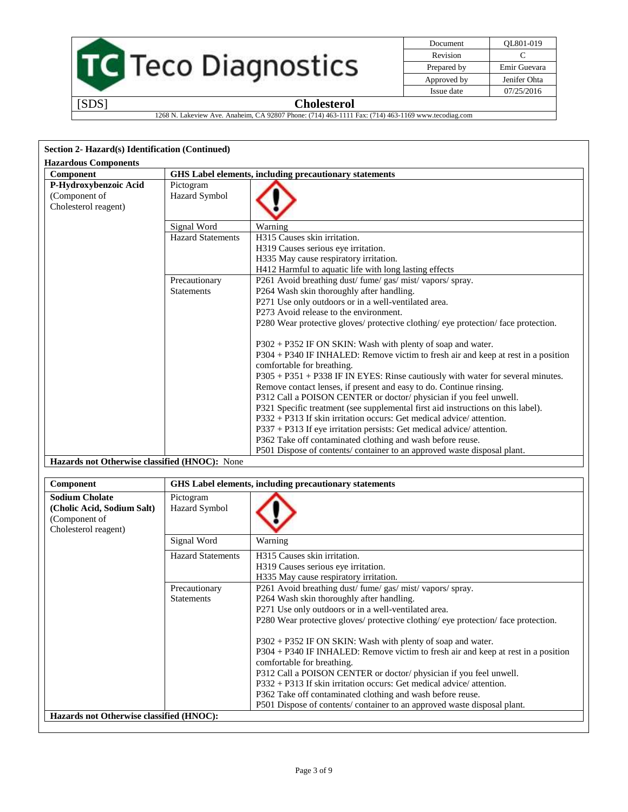

| Document    | OL801-019    |
|-------------|--------------|
| Revision    | €            |
| Prepared by | Emir Guevara |
| Approved by | Jenifer Ohta |
| Issue date  | 07/25/2016   |

1268 N. Lakeview Ave. Anaheim, CA 92807 Phone: (714) 463-1111 Fax: (714) 463-1169 www.tecodiag.com

| Section 2- Hazard(s) Identification (Continued)                |                                                        |                                                                                                                                                                                                                                                                                                                                                                                                                                                                                                                                                                                                                                                                                                                                                                                                                                                                                            |
|----------------------------------------------------------------|--------------------------------------------------------|--------------------------------------------------------------------------------------------------------------------------------------------------------------------------------------------------------------------------------------------------------------------------------------------------------------------------------------------------------------------------------------------------------------------------------------------------------------------------------------------------------------------------------------------------------------------------------------------------------------------------------------------------------------------------------------------------------------------------------------------------------------------------------------------------------------------------------------------------------------------------------------------|
| <b>Hazardous Components</b>                                    |                                                        |                                                                                                                                                                                                                                                                                                                                                                                                                                                                                                                                                                                                                                                                                                                                                                                                                                                                                            |
| Component                                                      | GHS Label elements, including precautionary statements |                                                                                                                                                                                                                                                                                                                                                                                                                                                                                                                                                                                                                                                                                                                                                                                                                                                                                            |
| P-Hydroxybenzoic Acid<br>(Component of<br>Cholesterol reagent) | Pictogram<br>Hazard Symbol                             |                                                                                                                                                                                                                                                                                                                                                                                                                                                                                                                                                                                                                                                                                                                                                                                                                                                                                            |
|                                                                | Signal Word                                            | Warning                                                                                                                                                                                                                                                                                                                                                                                                                                                                                                                                                                                                                                                                                                                                                                                                                                                                                    |
|                                                                | <b>Hazard Statements</b>                               | H315 Causes skin irritation.<br>H319 Causes serious eye irritation.<br>H335 May cause respiratory irritation.<br>H412 Harmful to aquatic life with long lasting effects                                                                                                                                                                                                                                                                                                                                                                                                                                                                                                                                                                                                                                                                                                                    |
|                                                                | Precautionary                                          | P261 Avoid breathing dust/ fume/ gas/ mist/ vapors/ spray.                                                                                                                                                                                                                                                                                                                                                                                                                                                                                                                                                                                                                                                                                                                                                                                                                                 |
|                                                                | <b>Statements</b>                                      | P264 Wash skin thoroughly after handling.<br>P271 Use only outdoors or in a well-ventilated area.<br>P273 Avoid release to the environment.<br>P280 Wear protective gloves/ protective clothing/ eye protection/ face protection.<br>P302 + P352 IF ON SKIN: Wash with plenty of soap and water.<br>P304 + P340 IF INHALED: Remove victim to fresh air and keep at rest in a position<br>comfortable for breathing.<br>P305 + P351 + P338 IF IN EYES: Rinse cautiously with water for several minutes.<br>Remove contact lenses, if present and easy to do. Continue rinsing.<br>P312 Call a POISON CENTER or doctor/physician if you feel unwell.<br>P321 Specific treatment (see supplemental first aid instructions on this label).<br>$P332 + P313$ If skin irritation occurs: Get medical advice/attention.<br>P337 + P313 If eye irritation persists: Get medical advice/ attention. |
|                                                                |                                                        | P362 Take off contaminated clothing and wash before reuse.                                                                                                                                                                                                                                                                                                                                                                                                                                                                                                                                                                                                                                                                                                                                                                                                                                 |
|                                                                |                                                        | P501 Dispose of contents/container to an approved waste disposal plant.                                                                                                                                                                                                                                                                                                                                                                                                                                                                                                                                                                                                                                                                                                                                                                                                                    |
| <b>Hazards not Otherwise classified (HNOC):</b> None           |                                                        |                                                                                                                                                                                                                                                                                                                                                                                                                                                                                                                                                                                                                                                                                                                                                                                                                                                                                            |

| Component                                                                                    | GHS Label elements, including precautionary statements |                                                                                                                                                                                                                                                                                                                                                                                                                                                                                                                                                                                                                                                   |
|----------------------------------------------------------------------------------------------|--------------------------------------------------------|---------------------------------------------------------------------------------------------------------------------------------------------------------------------------------------------------------------------------------------------------------------------------------------------------------------------------------------------------------------------------------------------------------------------------------------------------------------------------------------------------------------------------------------------------------------------------------------------------------------------------------------------------|
| <b>Sodium Cholate</b><br>(Cholic Acid, Sodium Salt)<br>(Component of<br>Cholesterol reagent) | Pictogram<br><b>Hazard Symbol</b>                      |                                                                                                                                                                                                                                                                                                                                                                                                                                                                                                                                                                                                                                                   |
|                                                                                              | Signal Word                                            | Warning                                                                                                                                                                                                                                                                                                                                                                                                                                                                                                                                                                                                                                           |
|                                                                                              | <b>Hazard Statements</b>                               | H315 Causes skin irritation.<br>H319 Causes serious eye irritation.<br>H335 May cause respiratory irritation.                                                                                                                                                                                                                                                                                                                                                                                                                                                                                                                                     |
|                                                                                              | Precautionary<br><b>Statements</b>                     | P261 Avoid breathing dust/fume/gas/mist/vapors/spray.<br>P264 Wash skin thoroughly after handling.<br>P271 Use only outdoors or in a well-ventilated area.<br>P280 Wear protective gloves/ protective clothing/ eye protection/ face protection.<br>$P302 + P352$ IF ON SKIN: Wash with plenty of soap and water.<br>P304 + P340 IF INHALED: Remove victim to fresh air and keep at rest in a position<br>comfortable for breathing.<br>P312 Call a POISON CENTER or doctor/physician if you feel unwell.<br>$P332 + P313$ If skin irritation occurs: Get medical advice/attention.<br>P362 Take off contaminated clothing and wash before reuse. |
| Hazards not Otherwise classified (HNOC):                                                     |                                                        | P501 Dispose of contents/ container to an approved waste disposal plant.                                                                                                                                                                                                                                                                                                                                                                                                                                                                                                                                                                          |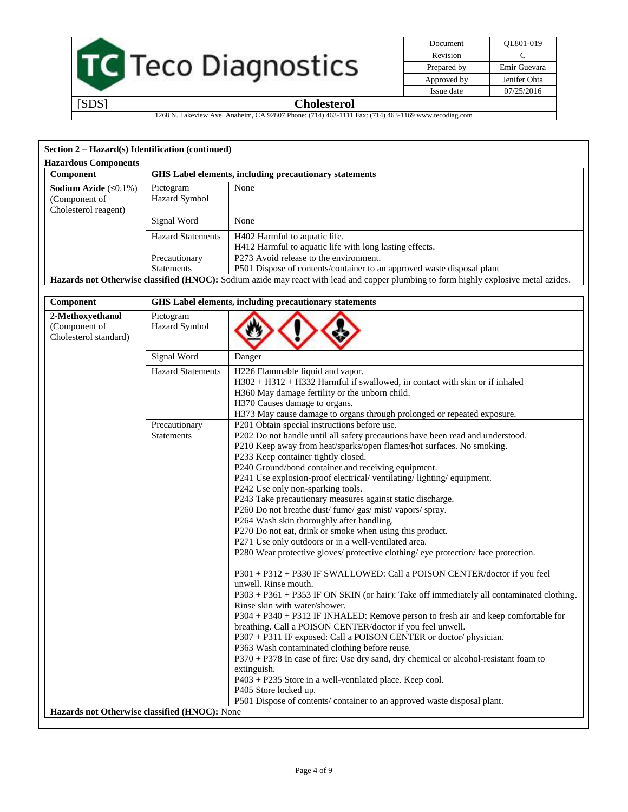

| Document    | OL801-019    |
|-------------|--------------|
| Revision    | C            |
| Prepared by | Emir Guevara |
| Approved by | Jenifer Ohta |
| Issue date  | 07/25/2016   |

1268 N. Lakeview Ave. Anaheim, CA 92807 Phone: (714) 463-1111 Fax: (714) 463-1169 www.tecodiag.com

# **Section 2 – Hazard(s) Identification (continued)**

| Section $2 - Hazard(s)$ Identification (continued) |                          |                                                                                                                                      |
|----------------------------------------------------|--------------------------|--------------------------------------------------------------------------------------------------------------------------------------|
| <b>Hazardous Components</b>                        |                          |                                                                                                                                      |
| Component                                          |                          | <b>GHS</b> Label elements, including precautionary statements                                                                        |
| <b>Sodium Azide</b> $(50.1\%)$                     | Pictogram                | None                                                                                                                                 |
| (Component of                                      | <b>Hazard Symbol</b>     |                                                                                                                                      |
| Cholesterol reagent)                               |                          |                                                                                                                                      |
|                                                    | Signal Word              | None                                                                                                                                 |
|                                                    | <b>Hazard Statements</b> | H402 Harmful to aquatic life.                                                                                                        |
|                                                    |                          | H412 Harmful to aquatic life with long lasting effects.                                                                              |
|                                                    | Precautionary            | P273 Avoid release to the environment.                                                                                               |
|                                                    | <b>Statements</b>        | P501 Dispose of contents/container to an approved waste disposal plant                                                               |
|                                                    |                          | Hazards not Otherwise classified (HNOC): Sodium azide may react with lead and copper plumbing to form highly explosive metal azides. |

| Component                                                  | GHS Label elements, including precautionary statements |                                                                                                                                                                                                                                                                                                                                                                                                                                                                                                                                                                                                                                                                                                                                                                                                                                                                                                                                                                                                                                                                                                                                                                                                                                                                                                                                                                                                        |
|------------------------------------------------------------|--------------------------------------------------------|--------------------------------------------------------------------------------------------------------------------------------------------------------------------------------------------------------------------------------------------------------------------------------------------------------------------------------------------------------------------------------------------------------------------------------------------------------------------------------------------------------------------------------------------------------------------------------------------------------------------------------------------------------------------------------------------------------------------------------------------------------------------------------------------------------------------------------------------------------------------------------------------------------------------------------------------------------------------------------------------------------------------------------------------------------------------------------------------------------------------------------------------------------------------------------------------------------------------------------------------------------------------------------------------------------------------------------------------------------------------------------------------------------|
| 2-Methoxyethanol<br>(Component of<br>Cholesterol standard) | Pictogram<br>Hazard Symbol                             |                                                                                                                                                                                                                                                                                                                                                                                                                                                                                                                                                                                                                                                                                                                                                                                                                                                                                                                                                                                                                                                                                                                                                                                                                                                                                                                                                                                                        |
|                                                            | Signal Word                                            | Danger                                                                                                                                                                                                                                                                                                                                                                                                                                                                                                                                                                                                                                                                                                                                                                                                                                                                                                                                                                                                                                                                                                                                                                                                                                                                                                                                                                                                 |
|                                                            | <b>Hazard Statements</b>                               | H226 Flammable liquid and vapor.<br>H302 + H312 + H332 Harmful if swallowed, in contact with skin or if inhaled<br>H360 May damage fertility or the unborn child.<br>H370 Causes damage to organs.<br>H373 May cause damage to organs through prolonged or repeated exposure.                                                                                                                                                                                                                                                                                                                                                                                                                                                                                                                                                                                                                                                                                                                                                                                                                                                                                                                                                                                                                                                                                                                          |
|                                                            | Precautionary<br><b>Statements</b>                     | P201 Obtain special instructions before use.<br>P202 Do not handle until all safety precautions have been read and understood.<br>P210 Keep away from heat/sparks/open flames/hot surfaces. No smoking.<br>P233 Keep container tightly closed.<br>P240 Ground/bond container and receiving equipment.<br>P241 Use explosion-proof electrical/ventilating/lighting/equipment.<br>P242 Use only non-sparking tools.<br>P243 Take precautionary measures against static discharge.<br>P260 Do not breathe dust/ fume/ gas/ mist/ vapors/ spray.<br>P264 Wash skin thoroughly after handling.<br>P270 Do not eat, drink or smoke when using this product.<br>P271 Use only outdoors or in a well-ventilated area.<br>P280 Wear protective gloves/ protective clothing/ eye protection/ face protection.<br>P301 + P312 + P330 IF SWALLOWED: Call a POISON CENTER/doctor if you feel<br>unwell. Rinse mouth.<br>P303 + P361 + P353 IF ON SKIN (or hair): Take off immediately all contaminated clothing.<br>Rinse skin with water/shower.<br>P304 + P340 + P312 IF INHALED: Remove person to fresh air and keep comfortable for<br>breathing. Call a POISON CENTER/doctor if you feel unwell.<br>P307 + P311 IF exposed: Call a POISON CENTER or doctor/physician.<br>P363 Wash contaminated clothing before reuse.<br>P370 + P378 In case of fire: Use dry sand, dry chemical or alcohol-resistant foam to |
|                                                            |                                                        | extinguish.<br>P403 + P235 Store in a well-ventilated place. Keep cool.<br>P405 Store locked up.                                                                                                                                                                                                                                                                                                                                                                                                                                                                                                                                                                                                                                                                                                                                                                                                                                                                                                                                                                                                                                                                                                                                                                                                                                                                                                       |
| Hazards not Otherwise classified (HNOC): None              |                                                        | P501 Dispose of contents/ container to an approved waste disposal plant.                                                                                                                                                                                                                                                                                                                                                                                                                                                                                                                                                                                                                                                                                                                                                                                                                                                                                                                                                                                                                                                                                                                                                                                                                                                                                                                               |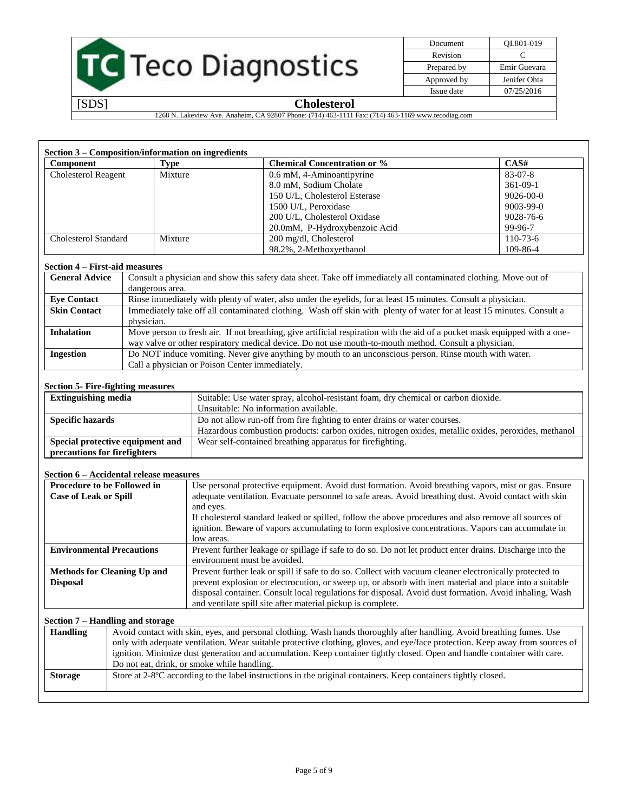

| Document    | OL801-019    |
|-------------|--------------|
| Revision    | C            |
| Prepared by | Emir Guevara |
| Approved by | Jenifer Ohta |
| Issue date  | 07/25/2016   |

1268 N. Lakeview Ave. Anaheim, CA 92807 Phone: (714) 463-1111 Fax: (714) 463-1169 www.tecodiag.com

| Section 3 – Composition/information on ingredients |         |                                    |                |
|----------------------------------------------------|---------|------------------------------------|----------------|
| <b>Component</b>                                   | Type    | <b>Chemical Concentration or %</b> | CAS#           |
| <b>Cholesterol Reagent</b>                         | Mixture | 0.6 mM, 4-Aminoantipyrine          | 83-07-8        |
|                                                    |         | 8.0 mM, Sodium Cholate             | $361-09-1$     |
|                                                    |         | 150 U/L, Cholesterol Esterase      | 9026-00-0      |
|                                                    |         | 1500 U/L, Peroxidase               | 9003-99-0      |
|                                                    |         | 200 U/L. Cholesterol Oxidase       | 9028-76-6      |
|                                                    |         | 20.0mM, P-Hydroxybenzoic Acid      | 99-96-7        |
| Cholesterol Standard                               | Mixture | 200 mg/dl, Cholesterol             | $110 - 73 - 6$ |
|                                                    |         | 98.2%, 2-Methoxyethanol            | 109-86-4       |

#### **Section 4 – First-aid measures**

| <b>General Advice</b> | Consult a physician and show this safety data sheet. Take off immediately all contaminated clothing. Move out of           |
|-----------------------|----------------------------------------------------------------------------------------------------------------------------|
|                       | dangerous area.                                                                                                            |
| <b>Eve Contact</b>    | Rinse immediately with plenty of water, also under the eyelids, for at least 15 minutes. Consult a physician.              |
| <b>Skin Contact</b>   | Immediately take off all contaminated clothing. Wash off skin with plenty of water for at least 15 minutes. Consult a      |
|                       | physician.                                                                                                                 |
| <b>Inhalation</b>     | Move person to fresh air. If not breathing, give artificial respiration with the aid of a pocket mask equipped with a one- |
|                       | way valve or other respiratory medical device. Do not use mouth-to-mouth method. Consult a physician.                      |
| <b>Ingestion</b>      | Do NOT induce vomiting. Never give anything by mouth to an unconscious person. Rinse mouth with water.                     |
|                       | Call a physician or Poison Center immediately.                                                                             |

#### **Section 5- Fire-fighting measures**

| <b>Extinguishing media</b>       | Suitable: Use water spray, alcohol-resistant foam, dry chemical or carbon dioxide.                  |
|----------------------------------|-----------------------------------------------------------------------------------------------------|
|                                  | Unsuitable: No information available.                                                               |
| <b>Specific hazards</b>          | Do not allow run-off from fire fighting to enter drains or water courses.                           |
|                                  | Hazardous combustion products: carbon oxides, nitrogen oxides, metallic oxides, peroxides, methanol |
| Special protective equipment and | Wear self-contained breathing apparatus for fire fighting.                                          |
| precautions for firefighters     |                                                                                                     |

#### **Section 6 – Accidental release measures**

| <b>Procedure to be Followed in</b> | Use personal protective equipment. Avoid dust formation. Avoid breathing vapors, mist or gas. Ensure      |  |
|------------------------------------|-----------------------------------------------------------------------------------------------------------|--|
| <b>Case of Leak or Spill</b>       | adequate ventilation. Evacuate personnel to safe areas. Avoid breathing dust. Avoid contact with skin     |  |
|                                    | and eyes.                                                                                                 |  |
|                                    | If cholesterol standard leaked or spilled, follow the above procedures and also remove all sources of     |  |
|                                    | ignition. Beware of vapors accumulating to form explosive concentrations. Vapors can accumulate in        |  |
|                                    | low areas.                                                                                                |  |
| <b>Environmental Precautions</b>   | Prevent further leakage or spillage if safe to do so. Do not let product enter drains. Discharge into the |  |
|                                    | environment must be avoided.                                                                              |  |
| <b>Methods for Cleaning Up and</b> | Prevent further leak or spill if safe to do so. Collect with vacuum cleaner electronically protected to   |  |
| <b>Disposal</b>                    | prevent explosion or electrocution, or sweep up, or absorb with inert material and place into a suitable  |  |
|                                    | disposal container. Consult local regulations for disposal. Avoid dust formation. Avoid inhaling. Wash    |  |
|                                    | and ventilate spill site after material pickup is complete.                                               |  |

#### **Section 7 – Handling and storage**

| <b>Handling</b> | Avoid contact with skin, eyes, and personal clothing. Wash hands thoroughly after handling. Avoid breathing fumes. Use        |
|-----------------|-------------------------------------------------------------------------------------------------------------------------------|
|                 | only with adequate ventilation. Wear suitable protective clothing, gloves, and eye/face protection. Keep away from sources of |
|                 | ignition. Minimize dust generation and accumulation. Keep container tightly closed. Open and handle container with care.      |
|                 | Do not eat, drink, or smoke while handling.                                                                                   |
| <b>Storage</b>  | Store at 2-8°C according to the label instructions in the original containers. Keep containers tightly closed.                |
|                 |                                                                                                                               |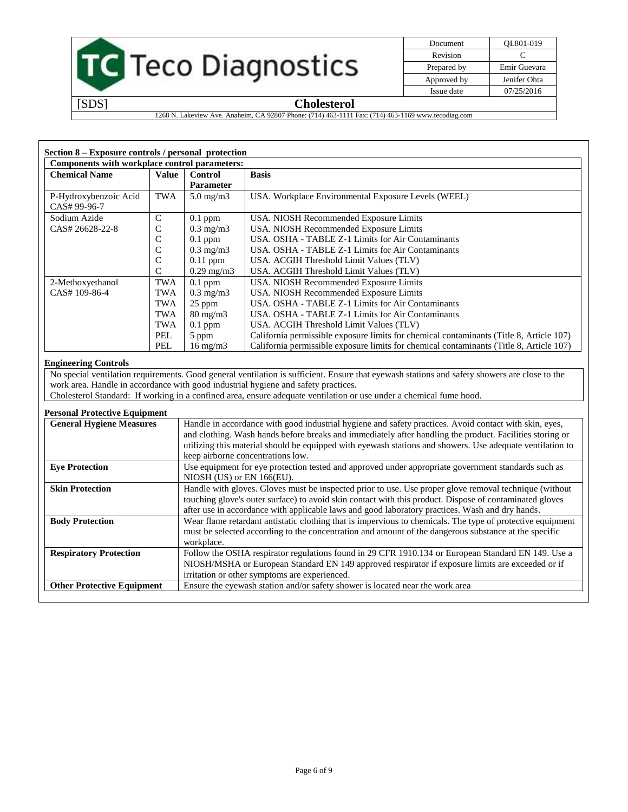# TC Teco Diagnostics

| Document    | OL801-019    |
|-------------|--------------|
| Revision    | C            |
| Prepared by | Emir Guevara |
| Approved by | Jenifer Ohta |
| Issue date  | 07/25/2016   |

[SDS] **Cholesterol**

1268 N. Lakeview Ave. Anaheim, CA 92807 Phone: (714) 463-1111 Fax: (714) 463-1169 www.tecodiag.com

| Section 8 – Exposure controls / personal protection<br>Components with workplace control parameters: |               |                     |                                                                                         |
|------------------------------------------------------------------------------------------------------|---------------|---------------------|-----------------------------------------------------------------------------------------|
| <b>Chemical Name</b>                                                                                 | Value         | <b>Control</b>      | <b>Basis</b>                                                                            |
|                                                                                                      |               | <b>Parameter</b>    |                                                                                         |
| P-Hydroxybenzoic Acid<br>CAS# 99-96-7                                                                | TWA           | $5.0 \text{ mg/m}$  | USA. Workplace Environmental Exposure Levels (WEEL)                                     |
| Sodium Azide                                                                                         | $\mathcal{C}$ | $0.1$ ppm           | USA. NIOSH Recommended Exposure Limits                                                  |
| CAS# 26628-22-8                                                                                      | C             | $0.3 \text{ mg/m}$  | USA. NIOSH Recommended Exposure Limits                                                  |
|                                                                                                      | C             | $0.1$ ppm           | USA. OSHA - TABLE Z-1 Limits for Air Contaminants                                       |
|                                                                                                      | C             | $0.3 \text{ mg/m}$  | USA, OSHA - TABLE Z-1 Limits for Air Contaminants                                       |
|                                                                                                      | $\mathsf{C}$  | $0.11$ ppm          | USA. ACGIH Threshold Limit Values (TLV)                                                 |
|                                                                                                      | C             | $0.29 \text{ mg/m}$ | USA. ACGIH Threshold Limit Values (TLV)                                                 |
| 2-Methoxyethanol                                                                                     | TWA           | $0.1$ ppm           | USA. NIOSH Recommended Exposure Limits                                                  |
| CAS# 109-86-4                                                                                        | <b>TWA</b>    | $0.3 \text{ mg/m}$  | USA. NIOSH Recommended Exposure Limits                                                  |
|                                                                                                      | <b>TWA</b>    | $25$ ppm            | USA, OSHA - TABLE Z-1 Limits for Air Contaminants                                       |
|                                                                                                      | <b>TWA</b>    | $80 \text{ mg/m}$   | USA, OSHA - TABLE Z-1 Limits for Air Contaminants                                       |
|                                                                                                      | TWA           | $0.1$ ppm           | USA. ACGIH Threshold Limit Values (TLV)                                                 |
|                                                                                                      | PEL.          | 5 ppm               | California permissible exposure limits for chemical contaminants (Title 8, Article 107) |
|                                                                                                      | PEL           | $16 \text{ mg/m}$   | California permissible exposure limits for chemical contaminants (Title 8, Article 107) |

#### **Engineering Controls**

No special ventilation requirements. Good general ventilation is sufficient. Ensure that eyewash stations and safety showers are close to the work area. Handle in accordance with good industrial hygiene and safety practices.

Cholesterol Standard: If working in a confined area, ensure adequate ventilation or use under a chemical fume hood.

#### **Personal Protective Equipment**

| <b>General Hygiene Measures</b>   | Handle in accordance with good industrial hygiene and safety practices. Avoid contact with skin, eyes,<br>and clothing. Wash hands before breaks and immediately after handling the product. Facilities storing or<br>utilizing this material should be equipped with eyewash stations and showers. Use adequate ventilation to<br>keep airborne concentrations low. |
|-----------------------------------|----------------------------------------------------------------------------------------------------------------------------------------------------------------------------------------------------------------------------------------------------------------------------------------------------------------------------------------------------------------------|
| <b>Eye Protection</b>             | Use equipment for eye protection tested and approved under appropriate government standards such as<br>NIOSH (US) or EN 166(EU).                                                                                                                                                                                                                                     |
| <b>Skin Protection</b>            | Handle with gloves. Gloves must be inspected prior to use. Use proper glove removal technique (without<br>touching glove's outer surface) to avoid skin contact with this product. Dispose of contaminated gloves<br>after use in accordance with applicable laws and good laboratory practices. Wash and dry hands.                                                 |
| <b>Body Protection</b>            | Wear flame retardant antistatic clothing that is impervious to chemicals. The type of protective equipment<br>must be selected according to the concentration and amount of the dangerous substance at the specific<br>workplace.                                                                                                                                    |
| <b>Respiratory Protection</b>     | Follow the OSHA respirator regulations found in 29 CFR 1910.134 or European Standard EN 149. Use a<br>NIOSH/MSHA or European Standard EN 149 approved respirator if exposure limits are exceeded or if<br>irritation or other symptoms are experienced.                                                                                                              |
| <b>Other Protective Equipment</b> | Ensure the eyewash station and/or safety shower is located near the work area                                                                                                                                                                                                                                                                                        |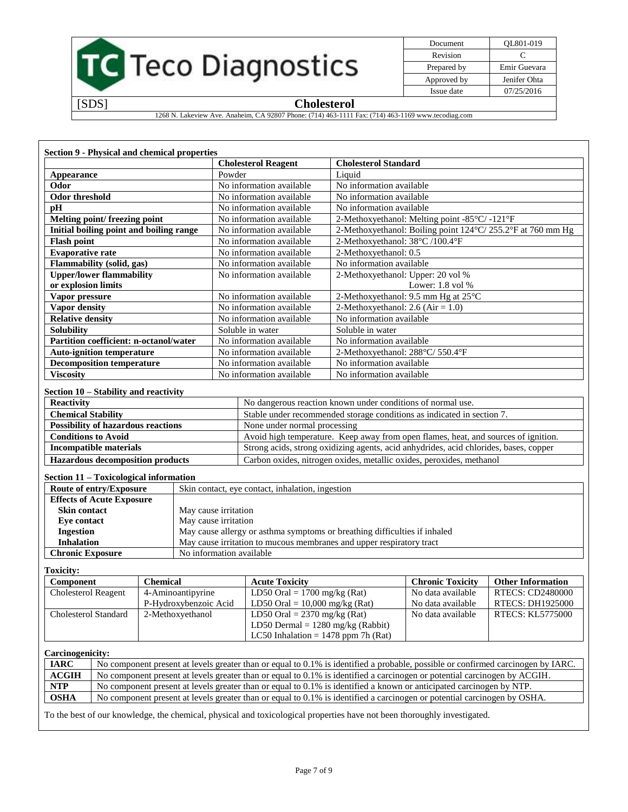

| Document    | QL801-019    |
|-------------|--------------|
| Revision    | C            |
| Prepared by | Emir Guevara |
| Approved by | Jenifer Ohta |
| Issue date  | 07/25/2016   |

1268 N. Lakeview Ave. Anaheim, CA 92807 Phone: (714) 463-1111 Fax: (714) 463-1169 www.tecodiag.com

| <b>Section 9 - Physical and chemical properties</b> | <b>Cholesterol Reagent</b> | <b>Cholesterol Standard</b>                                            |
|-----------------------------------------------------|----------------------------|------------------------------------------------------------------------|
| Appearance                                          | Powder                     | Liquid                                                                 |
| Odor                                                | No information available   | No information available                                               |
| <b>Odor threshold</b>                               | No information available   | No information available                                               |
| рH                                                  | No information available   | No information available                                               |
| Melting point/freezing point                        | No information available   | 2-Methoxyethanol: Melting point -85°C/ -121°F                          |
| Initial boiling point and boiling range             | No information available   | 2-Methoxyethanol: Boiling point 124°C/255.2°F at 760 mm Hg             |
| <b>Flash point</b>                                  | No information available   | 2-Methoxyethanol: 38°C /100.4°F                                        |
| <b>Evaporative rate</b>                             | No information available   | 2-Methoxyethanol: 0.5                                                  |
| <b>Flammability</b> (solid, gas)                    | No information available   | No information available                                               |
| <b>Upper/lower flammability</b>                     | No information available   | 2-Methoxyethanol: Upper: 20 vol %                                      |
| or explosion limits                                 |                            | Lower: $1.8$ vol $%$                                                   |
| Vapor pressure                                      | No information available   | 2-Methoxyethanol: 9.5 mm Hg at 25°C                                    |
| Vapor density                                       | No information available   | 2-Methoxyethanol: $2.6$ (Air = 1.0)                                    |
| <b>Relative density</b>                             | No information available   | No information available                                               |
| Solubility                                          | Soluble in water           | Soluble in water                                                       |
| Partition coefficient: n-octanol/water              | No information available   | No information available                                               |
| <b>Auto-ignition temperature</b>                    | No information available   | 2-Methoxyethanol: 288°C/ 550.4°F                                       |
| <b>Decomposition temperature</b>                    | No information available   | No information available                                               |
| <b>Viscosity</b>                                    | No information available   | No information available                                               |
| Section 10 – Stability and reactivity               |                            |                                                                        |
| Reactivity                                          |                            | No dangerous reaction known under conditions of normal use.            |
| <b>Chemical Stability</b>                           |                            | Stable under recommended storage conditions as indicated in section 7. |
|                                                     |                            |                                                                        |

| I OSSIBILLY OI HAZAI QUUS I CACHOIIS    | <b>NOTE under normal processing</b>                                                   |
|-----------------------------------------|---------------------------------------------------------------------------------------|
| <b>Conditions to Avoid</b>              | Avoid high temperature. Keep away from open flames, heat, and sources of ignition.    |
| Incompatible materials                  | Strong acids, strong oxidizing agents, acid anhydrides, acid chlorides, bases, copper |
| <b>Hazardous decomposition products</b> | Carbon oxides, nitrogen oxides, metallic oxides, peroxides, methanol                  |

### **Section 11 – Toxicological information**

| Route of entry/Exposure          | Skin contact, eye contact, inhalation, ingestion                          |  |
|----------------------------------|---------------------------------------------------------------------------|--|
| <b>Effects of Acute Exposure</b> |                                                                           |  |
| <b>Skin contact</b>              | May cause irritation                                                      |  |
| Eve contact                      | May cause irritation                                                      |  |
| <b>Ingestion</b>                 | May cause allergy or asthma symptoms or breathing difficulties if inhaled |  |
| <b>Inhalation</b>                | May cause irritation to mucous membranes and upper respiratory tract      |  |
| <b>Chronic Exposure</b>          | No information available                                                  |  |

#### **Toxicity:**

| Component                  | <b>Chemical</b>       | <b>Acute Toxicity</b>                 | <b>Chronic Toxicity</b> | <b>Other Information</b> |
|----------------------------|-----------------------|---------------------------------------|-------------------------|--------------------------|
| <b>Cholesterol Reagent</b> | 4-Aminoantipyrine     | LD50 Oral = $1700$ mg/kg (Rat)        | No data available       | <b>RTECS: CD2480000</b>  |
|                            | P-Hydroxybenzoic Acid | LD50 Oral = $10,000$ mg/kg (Rat)      | No data available       | <b>RTECS: DH1925000</b>  |
| Cholesterol Standard       | 2-Methoxyethanol      | LD50 Oral = $2370$ mg/kg (Rat)        | No data available       | <b>RTECS: KL5775000</b>  |
|                            |                       | LD50 Dermal = $1280$ mg/kg (Rabbit)   |                         |                          |
|                            |                       | LC50 Inhalation = $1478$ ppm 7h (Rat) |                         |                          |

#### **Carcinogenicity:**

| <b>IARC</b>  | No component present at levels greater than or equal to 0.1% is identified a probable, possible or confirmed carcinogen by IARC. |
|--------------|----------------------------------------------------------------------------------------------------------------------------------|
| <b>ACGIH</b> | No component present at levels greater than or equal to 0.1% is identified a carcinogen or potential carcinogen by ACGIH.        |
| <b>NTP</b>   | No component present at levels greater than or equal to 0.1% is identified a known or anticipated carcinogen by NTP.             |
| <b>OSHA</b>  | No component present at levels greater than or equal to 0.1% is identified a carcinogen or potential carcinogen by OSHA.         |

To the best of our knowledge, the chemical, physical and toxicological properties have not been thoroughly investigated.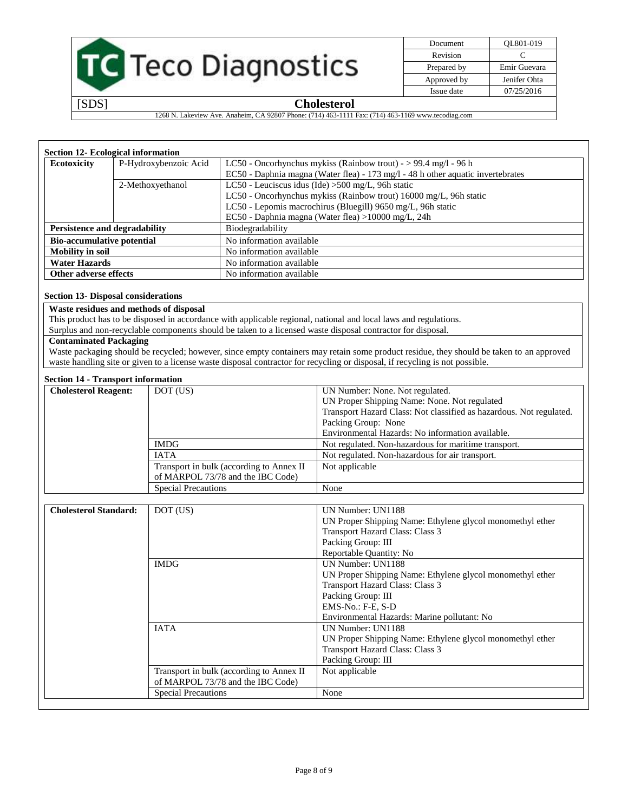

| Document    | OL801-019    |
|-------------|--------------|
| Revision    | C            |
| Prepared by | Emir Guevara |
| Approved by | Jenifer Ohta |
| Issue date  | 07/25/2016   |

1268 N. Lakeview Ave. Anaheim, CA 92807 Phone: (714) 463-1111 Fax: (714) 463-1169 www.tecodiag.com

| <b>Section 12- Ecological information</b>                               |                       |                                                                                 |  |
|-------------------------------------------------------------------------|-----------------------|---------------------------------------------------------------------------------|--|
| <b>Ecotoxicity</b>                                                      | P-Hydroxybenzoic Acid | LC50 - Oncorhynchus mykiss (Rainbow trout) - > 99.4 mg/l - 96 h                 |  |
|                                                                         |                       | EC50 - Daphnia magna (Water flea) - 173 mg/l - 48 h other aquatic invertebrates |  |
| LC50 - Leuciscus idus (Ide) $>500$ mg/L, 96h static<br>2-Methoxyethanol |                       |                                                                                 |  |
|                                                                         |                       | LC50 - Oncorhynchus mykiss (Rainbow trout) 16000 mg/L, 96h static               |  |
|                                                                         |                       | LC50 - Lepomis macrochirus (Bluegill) 9650 mg/L, 96h static                     |  |
|                                                                         |                       | EC50 - Daphnia magna (Water flea) >10000 mg/L, 24h                              |  |
| Persistence and degradability                                           |                       | Biodegradability                                                                |  |
| <b>Bio-accumulative potential</b>                                       |                       | No information available                                                        |  |
| <b>Mobility in soil</b>                                                 |                       | No information available                                                        |  |
| <b>Water Hazards</b>                                                    |                       | No information available                                                        |  |
| Other adverse effects                                                   |                       | No information available                                                        |  |

#### **Section 13- Disposal considerations**

#### **Waste residues and methods of disposal**

This product has to be disposed in accordance with applicable regional, national and local laws and regulations.

Surplus and non-recyclable components should be taken to a licensed waste disposal contractor for disposal.

#### **Contaminated Packaging**

Waste packaging should be recycled; however, since empty containers may retain some product residue, they should be taken to an approved waste handling site or given to a license waste disposal contractor for recycling or disposal, if recycling is not possible.

#### **Section 14 - Transport information**

| ресион 17 - тааргогч нимпиамон |                                           |                                                                     |  |
|--------------------------------|-------------------------------------------|---------------------------------------------------------------------|--|
| <b>Cholesterol Reagent:</b>    | DOT (US)                                  | UN Number: None. Not regulated.                                     |  |
|                                |                                           | UN Proper Shipping Name: None. Not regulated                        |  |
|                                |                                           | Transport Hazard Class: Not classified as hazardous. Not regulated. |  |
|                                |                                           | Packing Group: None                                                 |  |
|                                |                                           | Environmental Hazards: No information available.                    |  |
|                                | <b>IMDG</b>                               | Not regulated. Non-hazardous for maritime transport.                |  |
|                                | <b>IATA</b>                               | Not regulated. Non-hazardous for air transport.                     |  |
|                                | Transport in bulk (according to Annex II) | Not applicable                                                      |  |
|                                | of MARPOL 73/78 and the IBC Code)         |                                                                     |  |
|                                | <b>Special Precautions</b>                | None                                                                |  |

| <b>Cholesterol Standard:</b> | DOT (US)                                  | UN Number: UN1188                                         |
|------------------------------|-------------------------------------------|-----------------------------------------------------------|
|                              |                                           | UN Proper Shipping Name: Ethylene glycol monomethyl ether |
|                              |                                           | Transport Hazard Class: Class 3                           |
|                              |                                           | Packing Group: III                                        |
|                              |                                           | Reportable Quantity: No                                   |
|                              | <b>IMDG</b>                               | <b>UN Number: UN1188</b>                                  |
|                              |                                           | UN Proper Shipping Name: Ethylene glycol monomethyl ether |
|                              |                                           | Transport Hazard Class: Class 3                           |
|                              |                                           | Packing Group: III                                        |
|                              |                                           | EMS-No.: F-E, S-D                                         |
|                              |                                           | Environmental Hazards: Marine pollutant: No               |
|                              | <b>IATA</b>                               | UN Number: UN1188                                         |
|                              |                                           | UN Proper Shipping Name: Ethylene glycol monomethyl ether |
|                              |                                           | Transport Hazard Class: Class 3                           |
|                              |                                           | Packing Group: III                                        |
|                              | Transport in bulk (according to Annex II) | Not applicable                                            |
|                              | of MARPOL 73/78 and the IBC Code)         |                                                           |
|                              | <b>Special Precautions</b>                | None                                                      |